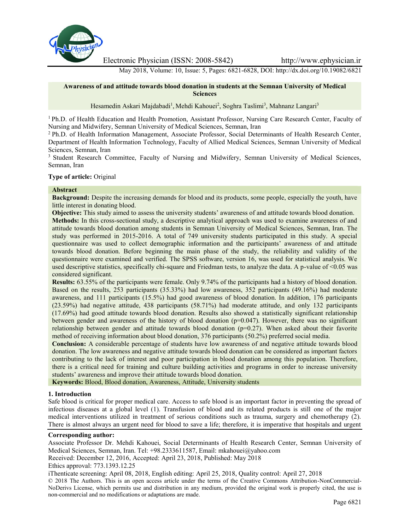

Electronic Physician (ISSN: 2008-5842) http://www.ephysician.ir

May 2018, Volume: 10, Issue: 5, Pages: 6821-6828, DOI: http://dx.doi.org/10.19082/6821

### **Awareness of and attitude towards blood donation in students at the Semnan University of Medical Sciences**

Hesamedin Askari Majdabadi<sup>1</sup>, Mehdi Kahouei<sup>2</sup>, Soghra Taslimi<sup>3</sup>, Mahnanz Langari<sup>3</sup>

<sup>1</sup> Ph.D. of Health Education and Health Promotion, Assistant Professor, Nursing Care Research Center, Faculty of Nursing and Midwifery, Semnan University of Medical Sciences, Semnan, Iran

<sup>2</sup> Ph.D. of Health Information Management, Associate Professor, Social Determinants of Health Research Center, Department of Health Information Technology, Faculty of Allied Medical Sciences, Semnan University of Medical Sciences, Semnan, Iran

<sup>3</sup> Student Research Committee, Faculty of Nursing and Midwifery, Semnan University of Medical Sciences, Semnan, Iran

### **Type of article:** Original

# **Abstract**

**Background:** Despite the increasing demands for blood and its products, some people, especially the youth, have little interest in donating blood.

**Objective:** This study aimed to assess the university students' awareness of and attitude towards blood donation. **Methods:** In this cross-sectional study, a descriptive analytical approach was used to examine awareness of and attitude towards blood donation among students in Semnan University of Medical Sciences, Semnan, Iran. The study was performed in 2015-2016. A total of 749 university students participated in this study. A special questionnaire was used to collect demographic information and the participants' awareness of and attitude towards blood donation. Before beginning the main phase of the study, the reliability and validity of the questionnaire were examined and verified. The SPSS software, version 16, was used for statistical analysis. We used descriptive statistics, specifically chi-square and Friedman tests, to analyze the data. A p-value of <0.05 was considered significant.

**Results:** 63.55% of the participants were female. Only 9.74% of the participants had a history of blood donation. Based on the results, 253 participants (35.33%) had low awareness, 352 participants (49.16%) had moderate awareness, and 111 participants (15.5%) had good awareness of blood donation. In addition, 176 participants (23.59%) had negative attitude, 438 participants (58.71%) had moderate attitude, and only 132 participants (17.69%) had good attitude towards blood donation. Results also showed a statistically significant relationship between gender and awareness of the history of blood donation (p=0.047). However, there was no significant relationship between gender and attitude towards blood donation  $(p=0.27)$ . When asked about their favorite method of receiving information about blood donation, 376 participants (50.2%) preferred social media.

**Conclusion:** A considerable percentage of students have low awareness of and negative attitude towards blood donation. The low awareness and negative attitude towards blood donation can be considered as important factors contributing to the lack of interest and poor participation in blood donation among this population. Therefore, there is a critical need for training and culture building activities and programs in order to increase university students' awareness and improve their attitude towards blood donation.

**Keywords:** Blood, Blood donation, Awareness, Attitude, University students

# **1. Introduction**

Safe blood is critical for proper medical care. Access to safe blood is an important factor in preventing the spread of infectious diseases at a global level (1). Transfusion of blood and its related products is still one of the major medical interventions utilized in treatment of serious conditions such as trauma, surgery and chemotherapy (2). There is almost always an urgent need for blood to save a life; therefore, it is imperative that hospitals and urgent

### **Corresponding author:**

Associate Professor Dr. Mehdi Kahouei, Social Determinants of Health Research Center, Semnan University of Medical Sciences, Semnan, Iran. Tel: +98.2333611587, Email: mkahouei@yahoo.com

Received: December 12, 2016, Accepted: April 23, 2018, Published: May 2018

Ethics approval: 773.1393.12.25

iThenticate screening: April 08, 2018, English editing: April 25, 2018, Quality control: April 27, 2018

© 2018 The Authors. This is an open access article under the terms of the Creative Commons Attribution-NonCommercial- NoDerivs License, which permits use and distribution in any medium, provided the original work is properly cited, the use is non-commercial and no modifications or adaptations are made.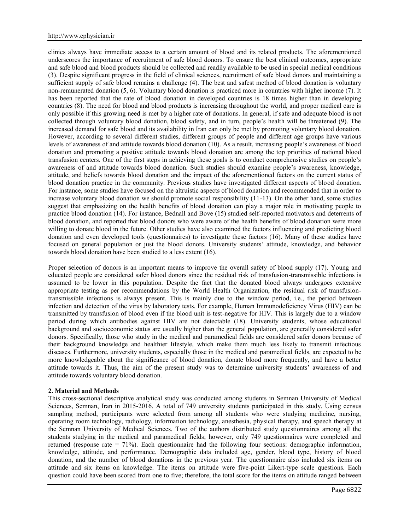clinics always have immediate access to a certain amount of blood and its related products. The aforementioned underscores the importance of recruitment of safe blood donors. To ensure the best clinical outcomes, appropriate and safe blood and blood products should be collected and readily available to be used in special medical conditions (3). Despite significant progress in the field of clinical sciences, recruitment of safe blood donors and maintaining a sufficient supply of safe blood remains a challenge (4). The best and safest method of blood donation is voluntary non-remunerated donation (5, 6). Voluntary blood donation is practiced more in countries with higher income (7). It has been reported that the rate of blood donation in developed countries is 18 times higher than in developing countries (8). The need for blood and blood products is increasing throughout the world, and proper medical care is only possible if this growing need is met by a higher rate of donations. In general, if safe and adequate blood is not collected through voluntary blood donation, blood safety, and in turn, people's health will be threatened (9). The increased demand for safe blood and its availability in Iran can only be met by promoting voluntary blood donation. However, according to several different studies, different groups of people and different age groups have various levels of awareness of and attitude towards blood donation (10). As a result, increasing people's awareness of blood donation and promoting a positive attitude towards blood donation are among the top priorities of national blood transfusion centers. One of the first steps in achieving these goals is to conduct comprehensive studies on people's awareness of and attitude towards blood donation. Such studies should examine people's awareness, knowledge, attitude, and beliefs towards blood donation and the impact of the aforementioned factors on the current status of blood donation practice in the community. Previous studies have investigated different aspects of blood donation. For instance, some studies have focused on the altruistic aspects of blood donation and recommended that in order to increase voluntary blood donation we should promote social responsibility (11-13). On the other hand, some studies suggest that emphasizing on the health benefits of blood donation can play a major role in motivating people to practice blood donation (14). For instance, Bednall and Bove (15) studied self-reported motivators and deterrents of blood donation, and reported that blood donors who were aware of the health benefits of blood donation were more willing to donate blood in the future. Other studies have also examined the factors influencing and predicting blood donation and even developed tools (questionnaires) to investigate these factors (16). Many of these studies have focused on general population or just the blood donors. University students' attitude, knowledge, and behavior towards blood donation have been studied to a less extent (16).

Proper selection of donors is an important means to improve the overall safety of blood supply (17). Young and educated people are considered safer blood donors since the residual risk of transfusion-transmissible infections is assumed to be lower in this population. Despite the fact that the donated blood always undergoes extensive appropriate testing as per recommendations by the World Health Organization, the residual risk of transfusiontransmissible infections is always present. This is mainly due to the window period, i.e., the period between infection and detection of the virus by laboratory tests. For example, Human Immunodeficiency Virus (HIV) can be transmitted by transfusion of blood even if the blood unit is test-negative for HIV. This is largely due to a window period during which antibodies against HIV are not detectable (18). University students, whose educational background and socioeconomic status are usually higher than the general population, are generally considered safer donors. Specifically, those who study in the medical and paramedical fields are considered safer donors because of their background knowledge and healthier lifestyle, which make them much less likely to transmit infectious diseases. Furthermore, university students, especially those in the medical and paramedical fields, are expected to be more knowledgeable about the significance of blood donation, donate blood more frequently, and have a better attitude towards it. Thus, the aim of the present study was to determine university students' awareness of and attitude towards voluntary blood donation.

### **2. Material and Methods**

This cross-sectional descriptive analytical study was conducted among students in Semnan University of Medical Sciences, Semnan, Iran in 2015-2016. A total of 749 university students participated in this study. Using census sampling method, participants were selected from among all students who were studying medicine, nursing, operating room technology, radiology, information technology, anesthesia, physical therapy, and speech therapy at the Semnan University of Medical Sciences. Two of the authors distributed study questionnaires among all the students studying in the medical and paramedical fields; however, only 749 questionnaires were completed and returned (response rate = 71%). Each questionnaire had the following four sections: demographic information, knowledge, attitude, and performance. Demographic data included age, gender, blood type, history of blood donation, and the number of blood donations in the previous year. The questionnaire also included six items on attitude and six items on knowledge. The items on attitude were five-point Likert-type scale questions. Each question could have been scored from one to five; therefore, the total score for the items on attitude ranged between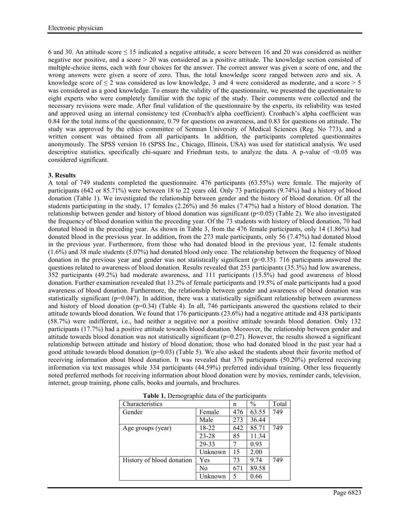6 and 30. An attitude score  $\leq 15$  indicated a negative attitude, a score between 16 and 20 was considered as neither negative nor positive, and a score  $> 20$  was considered as a positive attitude. The knowledge section consisted of multiple-choice items, each with four choices for the answer. The correct answer was given a score of one, and the wrong answers were given a score of zero. Thus, the total knowledge score ranged between zero and six. A knowledge score of  $\leq 2$  was considered as low knowledge, 3 and 4 were considered as moderate, and a score  $\geq 5$ was considered as a good knowledge. To ensure the validity of the questionnaire, we presented the questionnaire to eight experts who were completely familiar with the topic of the study. Their comments were collected and the necessary revisions were made. After final validation of the questionnaire by the experts, its reliability was tested and approved using an internal consistency test (Cronbach's alpha coefficient). Cronbach's alpha coefficient was 0.84 for the total items of the questionnaire, 0.79 for questions on awareness, and 0.83 for questions on attitude. The study was approved by the ethics committee of Semnan University of Medical Sciences (Reg. No 773), and a written consent was obtained from all participants. In addition, the participants completed questionnaires anonymously. The SPSS version 16 (SPSS Inc., Chicago, Illinois, USA) was used for statistical analysis. We used descriptive statistics, specifically chi-square and Friedman tests, to analyze the data. A p-value of <0.05 was considered significant.

# **3. Results**

A total of 749 students completed the questionnaire. 476 participants (63.55%) were female. The majority of participants (642 or 85.71%) were between 18 to 22 years old. Only 73 participants (9.74%) had a history of blood donation (Table 1). We investigated the relationship between gender and the history of blood donation. Of all the students participating in the study, 17 females (2.26%) and 56 males (7.47%) had a history of blood donation. The relationship between gender and history of blood donation was significant ( $p<0.05$ ) (Table 2). We also investigated the frequency of blood donation within the preceding year. Of the 73 students with history of blood donation, 70 had donated blood in the preceding year. As shown in Table 3, from the 476 female participants, only 14 (1.86%) had donated blood in the previous year. In addition, from the 273 male participants, only 56 (7.47%) had donated blood in the previous year. Furthermore, from those who had donated blood in the previous year, 12 female students (1.6%) and 38 male students (5.07%) had donated blood only once. The relationship between the frequency of blood donation in the previous year and gender was not statistically significant ( $p=0.35$ ). 716 participants answered the questions related to awareness of blood donation. Results revealed that 253 participants (35.3%) had low awareness, 352 participants (49.2%) had moderate awareness, and 111 participants (15.5%) had good awareness of blood donation. Further examination revealed that 13.2% of female participants and 19.5% of male participants had a good awareness of blood donation. Furthermore, the relationship between gender and awareness of blood donation was statistically significant ( $p=0.047$ ). In addition, there was a statistically significant relationship between awareness and history of blood donation ( $p=0.34$ ) (Table 4). In all, 746 participants answered the questions related to their attitude towards blood donation. We found that 176 participants (23.6%) had a negative attitude and 438 participants (58.7%) were indifferent, i.e., had neither a negative nor a positive attitude towards blood donation. Only 132 participants (17.7%) had a positive attitude towards blood donation. Moreover, the relationship between gender and attitude towards blood donation was not statistically significant  $(p=0.27)$ . However, the results showed a significant relationship between attitude and history of blood donation; those who had donated blood in the past year had a good attitude towards blood donation  $(p=0.03)$  (Table 5). We also asked the students about their favorite method of receiving information about blood donation. It was revealed that 376 participants (50.20%) preferred receiving information via text massages while 334 participants (44.59%) preferred individual training. Other less frequently noted preferred methods for receiving information about blood donation were by movies, reminder cards, television, internet, group training, phone calls, books and journals, and brochures.

| Characteristics           |         | n   | $\frac{0}{0}$ | Total |
|---------------------------|---------|-----|---------------|-------|
| Gender                    | Female  | 476 | 63.55         | 749   |
|                           | Male    | 273 | 36.44         |       |
| Age groups (year)         | 18-22   | 642 | 85.71         | 749   |
|                           | 23-28   | 85  | 11.34         |       |
|                           | 29-33   |     | 0.93          |       |
|                           | Unknown | 15  | 2.00          |       |
| History of blood donation | Yes     | 73  | 9.74          | 749   |
|                           | No      | 671 | 89.58         |       |
|                           | Unknown | 5   | 0.66          |       |

**Table 1.** Demographic data of the participants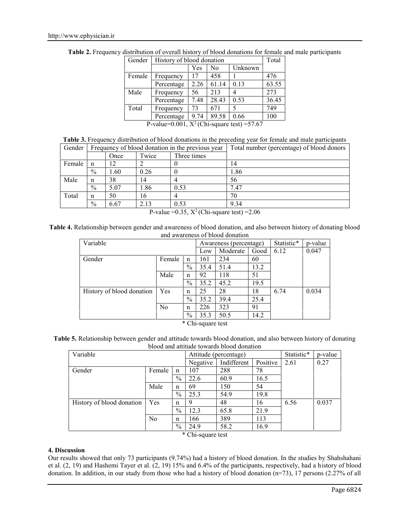| Gender | History of blood donation                      | Total |       |         |       |
|--------|------------------------------------------------|-------|-------|---------|-------|
|        |                                                | Yes   | No    | Unknown |       |
| Female | Frequency                                      | 17    | 458   |         | 476   |
|        | Percentage                                     | 2.26  | 61.14 | 0.13    | 63.55 |
| Male   | Frequency                                      | 56    | 213   |         | 273   |
|        | Percentage                                     | 7.48  | 28.43 | 0.53    | 36.45 |
| Total  | Frequency                                      | 73    | 671   |         | 749   |
|        | Percentage                                     | 9.74  | 89.58 | 0.66    | 100   |
|        | P-value=0.001, $X^2$ (Chi-square test) = 57.67 |       |       |         |       |

**Table 2.** Frequency distribution of overall history of blood donations for female and male participants

| Table 3. Frequency distribution of blood donations in the preceding year for female and male participants |  |
|-----------------------------------------------------------------------------------------------------------|--|
|-----------------------------------------------------------------------------------------------------------|--|

| Gender |               |      |       | Frequency of blood donation in the previous year                                              | Total number (percentage) of blood donors |
|--------|---------------|------|-------|-----------------------------------------------------------------------------------------------|-------------------------------------------|
|        |               | Once | Twice | Three times                                                                                   |                                           |
| Female | n             | 2    |       |                                                                                               | 14                                        |
|        | $\frac{0}{0}$ | 1.60 | 0.26  |                                                                                               | 1.86                                      |
| Male   | n             | 38   | 14    | 4                                                                                             | 56                                        |
|        | $\frac{0}{0}$ | 5.07 | 1.86  | 0.53                                                                                          | 7.47                                      |
| Total  | n             | 50   | 16    | 4                                                                                             | 70                                        |
|        | $\frac{0}{0}$ | 6.67 | 2.13  | 0.53                                                                                          | 9.34                                      |
|        |               |      |       | $D_{\text{ref}} = 0.25 \text{ V}^2/\text{C}1$ , $\ldots$ (except to the next of $\sim 2.06$ ) |                                           |

P-value =  $0.35$ ,  $X^2$  (Chi-square test) =  $2.06$ 

**Table 4.** Relationship between gender and awareness of blood donation, and also between history of donating blood and awareness of blood donation

| Variable                  |                |               | Awareness (percentage) |          |      | Statistic* | p-value |
|---------------------------|----------------|---------------|------------------------|----------|------|------------|---------|
|                           |                |               | Low                    | Moderate | Good | 6.12       | 0.047   |
| Gender                    | Female         | n             | 161                    | 234      | 60   |            |         |
|                           |                | $\frac{0}{0}$ | 35.4                   | 51.4     | 13.2 |            |         |
|                           | Male           | n             | 92                     | 118      | 51   |            |         |
|                           |                | $\frac{0}{0}$ | 35.2                   | 45.2     | 19.5 |            |         |
| History of blood donation | Yes            | n             | 25                     | 28       | 18   | 6.74       | 0.034   |
|                           |                | $\%$          | 35.2                   | 39.4     | 25.4 |            |         |
|                           | N <sub>0</sub> | n             | 226                    | 323      | 91   |            |         |
|                           |                | $\%$          | 35.3                   | 50.5     | 14.2 |            |         |

\* Chi-square test

| Table 5. Relationship between gender and attitude towards blood donation, and also between history of donating |  |
|----------------------------------------------------------------------------------------------------------------|--|
| blood and attitude towards blood donation                                                                      |  |

| Variable       |               |      |             | Statistic*            | p-value |       |
|----------------|---------------|------|-------------|-----------------------|---------|-------|
|                |               |      | Indifferent | Positive              | 2.61    | 0.27  |
| Female         | n             | 107  | 288         | 78                    |         |       |
|                | $\%$          | 22.6 | 60.9        | 16.5                  |         |       |
| Male           | n             | 69   | 150         | 54                    |         |       |
|                | $\%$          | 25.3 | 54.9        | 19.8                  |         |       |
| Yes            | n             |      | 48          | 16                    | 6.56    | 0.037 |
|                | $\frac{0}{0}$ | 12.3 | 65.8        | 21.9                  |         |       |
| N <sub>0</sub> | n             | 166  | 389         | 113                   |         |       |
|                | $\%$          | 24.9 | 58.2        | 16.9                  |         |       |
|                |               |      | Negative    | Attitude (percentage) |         |       |

\* Chi-square test

# **4. Discussion**

Our results showed that only 73 participants (9.74%) had a history of blood donation. In the studies by Shahshahani et al. (2, 19) and Hashemi Tayer et al. (2, 19) 15% and 6.4% of the participants, respectively, had a history of blood donation. In addition, in our study from those who had a history of blood donation (n=73), 17 persons (2.27% of all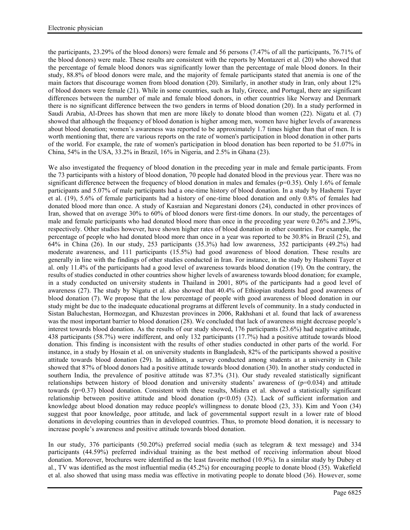the participants, 23.29% of the blood donors) were female and 56 persons (7.47% of all the participants, 76.71% of the blood donors) were male. These results are consistent with the reports by Montazeri et al. (20) who showed that the percentage of female blood donors was significantly lower than the percentage of male blood donors. In their study, 88.8% of blood donors were male, and the majority of female participants stated that anemia is one of the main factors that discourage women from blood donation (20). Similarly, in another study in Iran, only about 12% of blood donors were female (21). While in some countries, such as Italy, Greece, and Portugal, there are significant differences between the number of male and female blood donors, in other countries like Norway and Denmark there is no significant difference between the two genders in terms of blood donation (20). In a study performed in Saudi Arabia, Al-Drees has shown that men are more likely to donate blood than women (22). Nigatu et al. (7) showed that although the frequency of blood donation is higher among men, women have higher levels of awareness about blood donation; women's awareness was reported to be approximately 1.7 times higher than that of men. It is worth mentioning that, there are various reports on the rate of women's participation in blood donation in other parts of the world. For example, the rate of women's participation in blood donation has been reported to be 51.07% in China, 54% in the USA, 33.2% in Brazil, 16% in Nigeria, and 2.5% in Ghana (23).

We also investigated the frequency of blood donation in the preceding year in male and female participants. From the 73 participants with a history of blood donation, 70 people had donated blood in the previous year. There was no significant difference between the frequency of blood donation in males and females ( $p=0.35$ ). Only 1.6% of female participants and 5.07% of male participants had a one-time history of blood donation. In a study by Hashemi Tayer et al. (19), 5.6% of female participants had a history of one-time blood donation and only 0.8% of females had donated blood more than once. A study of Kasraian and Negarestani donors (24), conducted in other provinces of Iran, showed that on average 30% to 60% of blood donors were first-time donors. In our study, the percentages of male and female participants who had donated blood more than once in the preceding year were 0.26% and 2.39%, respectively. Other studies however, have shown higher rates of blood donation in other countries. For example, the percentage of people who had donated blood more than once in a year was reported to be 30.8% in Brazil (25), and 64% in China (26). In our study, 253 participants (35.3%) had low awareness, 352 participants (49.2%) had moderate awareness, and 111 participants (15.5%) had good awareness of blood donation. These results are generally in line with the findings of other studies conducted in Iran. For instance, in the study by Hashemi Tayer et al. only 11.4% of the participants had a good level of awareness towards blood donation (19). On the contrary, the results of studies conducted in other countries show higher levels of awareness towards blood donation; for example, in a study conducted on university students in Thailand in 2001, 80% of the participants had a good level of awareness (27). The study by Nigatu et al. also showed that 40.4% of Ethiopian students had good awareness of blood donation (7). We propose that the low percentage of people with good awareness of blood donation in our study might be due to the inadequate educational programs at different levels of community. In a study conducted in Sistan Baluchestan, Hormozgan, and Khuzestan provinces in 2006, Rakhshani et al. found that lack of awareness was the most important barrier to blood donation (28). We concluded that lack of awareness might decrease people's interest towards blood donation. As the results of our study showed, 176 participants (23.6%) had negative attitude, 438 participants (58.7%) were indifferent, and only 132 participants (17.7%) had a positive attitude towards blood donation. This finding is inconsistent with the results of other studies conducted in other parts of the world. For instance, in a study by Hosain et al. on university students in Bangladesh, 82% of the participants showed a positive attitude towards blood donation (29). In addition, a survey conducted among students at a university in Chile showed that 87% of blood donors had a positive attitude towards blood donation (30). In another study conducted in southern India, the prevalence of positive attitude was 87.3% (31). Our study revealed statistically significant relationships between history of blood donation and university students' awareness of  $(p=0.034)$  and attitude towards (p=0.37) blood donation. Consistent with these results, Mishra et al. showed a statistically significant relationship between positive attitude and blood donation  $(p<0.05)$  (32). Lack of sufficient information and knowledge about blood donation may reduce people's willingness to donate blood (23, 33). Kim and Yoon (34) suggest that poor knowledge, poor attitude, and lack of governmental support result in a lower rate of blood donations in developing countries than in developed countries. Thus, to promote blood donation, it is necessary to increase people's awareness and positive attitude towards blood donation.

In our study, 376 participants (50.20%) preferred social media (such as telegram & text message) and 334 participants (44.59%) preferred individual training as the best method of receiving information about blood donation. Moreover, brochures were identified as the least favorite method (10.9%). In a similar study by Dubey et al., TV was identified as the most influential media (45.2%) for encouraging people to donate blood (35). Wakefield et al. also showed that using mass media was effective in motivating people to donate blood (36). However, some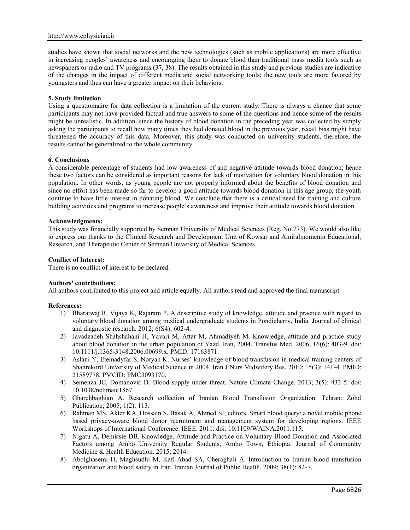studies have shown that social networks and the new technologies (such as mobile applications) are more effective in increasing peoples' awareness and encouraging them to donate blood than traditional mass media tools such as newspapers or radio and TV programs (37, 38). The results obtained in this study and previous studies are indicative of the changes in the impact of different media and social networking tools; the new tools are more favored by youngsters and thus can have a greater impact on their behaviors.

### **5. Study limitation**

Using a questionnaire for data collection is a limitation of the current study. There is always a chance that some participants may not have provided factual and true answers to some of the questions and hence some of the results might be unrealistic. In addition, since the history of blood donation in the preceding year was collected by simply asking the participants to recall how many times they had donated blood in the previous year, recall bias might have threatened the accuracy of this data. Moreover, this study was conducted on university students, therefore, the results cannot be generalized to the whole community.

### **6. Conclusions**

A considerable percentage of students had low awareness of and negative attitude towards blood donation; hence these two factors can be considered as important reasons for lack of motivation for voluntary blood donation in this population. In other words, as young people are not properly informed about the benefits of blood donation and since no effort has been made so far to develop a good attitude towards blood donation in this age group, the youth continue to have little interest in donating blood. We conclude that there is a critical need for training and culture building activities and programs to increase people's awareness and improve their attitude towards blood donation.

### **Acknowledgments:**

This study was financially supported by Semnan University of Medical Sciences (Reg. No 773). We would also like to express our thanks to the Clinical Research and Development Unit of Kowsar and Amiralmomenin Educational, Research, and Therapeutic Center of Semnan University of Medical Sciences.

### **Conflict of Interest:**

There is no conflict of interest to be declared.

### **Authors' contributions:**

All authors contributed to this project and article equally. All authors read and approved the final manuscript.

### **References:**

- 1) Bharatwaj R, Vijaya K, Rajaram P. A descriptive study of knowledge, attitude and practice with regard to voluntary blood donation among medical undergraduate students in Pondicherry, India. Journal of clinical and diagnostic research. 2012; 6(S4): 602-4.
- 2) Javadzadeh Shahshahani H, Yavari M, Attar M, Ahmadiyėh M. Knowledge, attitude and practice study about blood donation in the urban population of Yazd, Iran, 2004. Transfus Med. 2006; 16(6): 403-9. doi: 10.1111/j.1365-3148.2006.00699.x. PMID: 17163871.
- 3) Aslani Y, Etemadyfar S, Noryan K. Nurses' knowledge of blood transfusion in medical training centers of Shahrekord University of Medical Science in 2004. Iran J Nurs Midwifery Res. 2010; 15(3): 141-4. PMID: 21589778, PMCID: PMC3093170.
- 4) Semenza JC, Domanović D. Blood supply under threat. Nature Climate Change. 2013; 3(5): 432-5. doi: 10.1038/nclimate1867.
- 5) Gharehbaghian A. Research collection of Iranian Blood Transfusion Organization. Tehran: Zohd Publication; 2005; 1(2): 113.
- 6) Rahman MS, Akter KA, Hossain S, Basak A, Ahmed SI, editors. Smart blood query: a novel mobile phone based privacy-aware blood donor recruitment and management system for developing regions. IEEE Workshops of International Conference. IEEE. 2011. doi: 10.1109/WAINA.2011.115.
- 7) Nigatu A, Demissie DB. Knowledge, Attitude and Practice on Voluntary Blood Donation and Associated Factors among Ambo University Regular Students, Ambo Town, Ethiopia. Journal of Community Medicine & Health Education. 2015; 2014.
- 8) Abolghasemi H, Maghsudlu M, Kafi-Abad SA, Cheraghali A. Introduction to Iranian blood transfusion organization and blood safety in Iran. Iranian Journal of Public Health. 2009; 38(1): 82-7.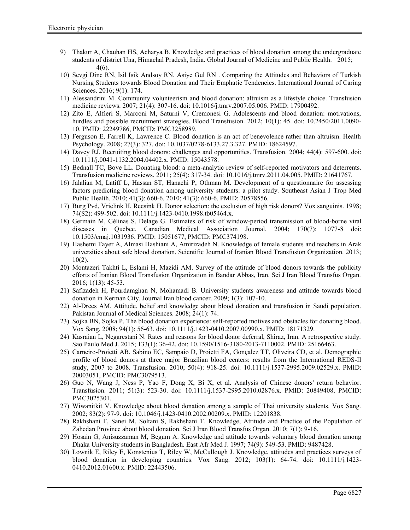- 9) Thakur A, Chauhan HS, Acharya B. Knowledge and practices of blood donation among the undergraduate students of district Una, Himachal Pradesh, India. Global Journal of Medicine and Public Health. 2015; 4(6).
- 10) Sevgi Dinc RN, Isil Isik Andsoy RN, Asiye Gul RN . Comparing the Attitudes and Behaviors of Turkish Nursing Students towards Blood Donation and Their Emphatic Tendencies. International Journal of Caring Sciences. 2016; 9(1): 174.
- 11) Alessandrini M. Community volunteerism and blood donation: altruism as a lifestyle choice. Transfusion medicine reviews. 2007; 21(4): 307-16. doi: 10.1016/j.tmrv.2007.05.006. PMID: 17900492.
- 12) Zito E, Alfieri S, Marconi M, Saturni V, Cremonesi G. Adolescents and blood donation: motivations, hurdles and possible recruitment strategies. Blood Transfusion. 2012; 10(1): 45. doi: 10.2450/2011.0090-10. PMID: 22249786, PMCID: PMC3258989.
- 13) Ferguson E, Farrell K, Lawrence C. Blood donation is an act of benevolence rather than altruism. Health Psychology. 2008; 27(3): 327. doi: 10.1037/0278-6133.27.3.327. PMID: 18624597.
- 14) Davey RJ. Recruiting blood donors: challenges and opportunities. Transfusion. 2004; 44(4): 597-600. doi: 10.1111/j.0041-1132.2004.04402.x. PMID: 15043578.
- 15) Bednall TC, Bove LL. Donating blood: a meta-analytic review of self-reported motivators and deterrents. Transfusion medicine reviews. 2011; 25(4): 317-34. doi: 10.1016/j.tmrv.2011.04.005. PMID: 21641767.
- 16) Jalalian M, Latiff L, Hassan ST, Hanachi P, Othman M. Development of a questionnaire for assessing factors predicting blood donation among university students: a pilot study. Southeast Asian J Trop Med Public Health. 2010; 41(3): 660-6. 2010; 41(3): 660-6. PMID: 20578556.
- 17) Burg Pvd, Vrielink H, Reesink H. Donor selection: the exclusion of high risk donors? Vox sanguinis. 1998; 74(S2): 499-502. doi: 10.1111/j.1423-0410.1998.tb05464.x.
- 18) Germain M, Gélinas S, Delage G. Estimates of risk of window-period transmission of blood-borne viral diseases in Quebec. Canadian Medical Association Journal. 2004; 170(7): 1077-8 doi: 10.1503/cmaj.1031936. PMID: 15051677, PMCID: PMC374198.
- 19) Hashemi Tayer A, Almasi Hashiani A, Amirizadeh N. Knowledge of female students and teachers in Arak universities about safe blood donation. Scientific Journal of Iranian Blood Transfusion Organization. 2013; 10(2).
- 20) Montazeri Takhti L, Eslami H, Mazidi AM. Survey of the attitude of blood donors towards the publicity efforts of Iranian Blood Transfusion Organization in Bandar Abbas, Iran. Sci J Iran Blood Transfus Organ. 2016; 1(13): 45-53.
- 21) Safizadeh H, Pourdamghan N, Mohamadi B. University students awareness and attitude towards blood donation in Kerman City. Journal Iran blood cancer. 2009; 1(3): 107-10.
- 22) Al-Drees AM. Attitude, belief and knowledge about blood donation and transfusion in Saudi population. Pakistan Journal of Medical Sciences. 2008; 24(1): 74.
- 23) Sojka BN, Sojka P. The blood donation experience: self-reported motives and obstacles for donating blood. Vox Sang. 2008; 94(1): 56-63. doi: 10.1111/j.1423-0410.2007.00990.x. PMID: 18171329.
- 24) Kasraian L, Negarestani N. Rates and reasons for blood donor deferral, Shiraz, Iran. A retrospective study. Sao Paulo Med J. 2015; 133(1): 36-42. doi: 10.1590/1516-3180-2013-7110002. PMID: 25166463.
- 25) Carneiro-Proietti AB, Sabino EC, Sampaio D, Proietti FA, Gonçalez TT, Oliveira CD, et al. Demographic profile of blood donors at three major Brazilian blood centers: results from the International REDS-II study, 2007 to 2008. Transfusion. 2010; 50(4): 918-25. doi: 10.1111/j.1537-2995.2009.02529.x. PMID: 20003051, PMCID: PMC3079513.
- 26) Guo N, Wang J, Ness P, Yao F, Dong X, Bi X, et al. Analysis of Chinese donors' return behavior. Transfusion. 2011; 51(3): 523-30. doi: 10.1111/j.1537-2995.2010.02876.x. PMID: 20849408, PMCID: PMC3025301.
- 27) Wiwanitkit V. Knowledge about blood donation among a sample of Thai university students. Vox Sang. 2002; 83(2): 97-9. doi: 10.1046/j.1423-0410.2002.00209.x. PMID: 12201838.
- 28) Rakhshani F, Sanei M, Soltani S, Rakhshani T. Knowledge, Attitude and Practice of the Population of Zahedan Province about blood donation. Sci J Iran Blood Transfus Organ. 2010; 7(1): 9-16.
- 29) Hosain G, Anisuzzaman M, Begum A. Knowledge and attitude towards voluntary blood donation among Dhaka University students in Bangladesh. East Afr Med J. 1997; 74(9): 549-53. PMID: 9487428.
- 30) Lownik E, Riley E, Konstenius T, Riley W, McCullough J. Knowledge, attitudes and practices surveys of blood donation in developing countries. Vox Sang. 2012; 103(1): 64-74. doi: 10.1111/j.1423- 0410.2012.01600.x. PMID: 22443506.